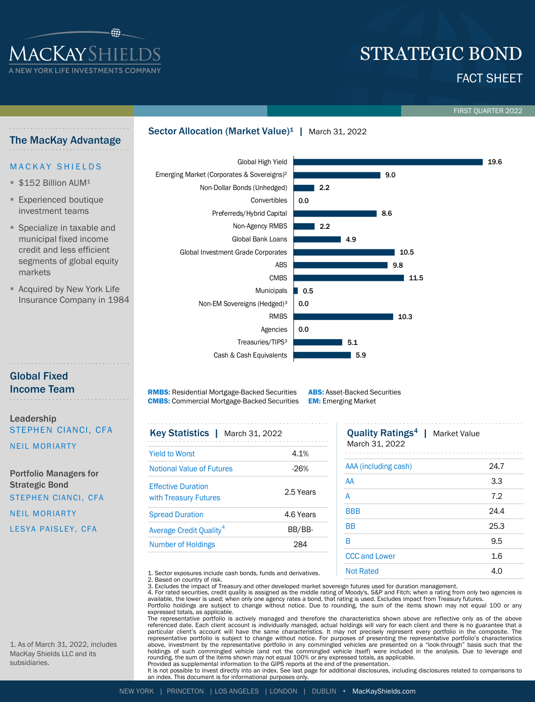

The MacKay Advantage

# FACT SHEET STRATEGIC BOND

FIRST QUARTER 2022

19.6

# Sector Allocation (Market Value)<sup>1</sup> | March 31, 2022

### Global High Yield **MACKAY SHIELDS** Emerging Market (Corporates & Sovereigns)² 9.0  $$152$  Billion AUM<sup>1</sup> Non-Dollar Bonds (Unhedged) 2.2 **Experienced boutique** Convertibles 0.0 investment teams Preferreds/Hybrid Capital 8.6 Non-Agency RMBS  $\blacksquare$  2.2 **Specialize in taxable and** municipal fixed income Global Bank Loans  $149$ credit and less efficient Global Investment Grade Corporates  $10.5$ segments of global equity ABS 9.8 markets CMBS 11.5 **E** Acquired by New York Life **Municipals** 0.5 Insurance Company in 1984 Non-EM Sovereigns (Hedged)³ 0.0 RMBS  $10.3$ Agencies 0.0 Treasuries/TIPS<sup>3</sup> 5.1 Cash & Cash Equivalents

# Global Fixed Income Team

Leadership STEPHEN CIANCI, CFA

NEIL MORIARTY

Portfolio Managers for Strategic Bond STEPHEN CIANCI, CFA NEIL MORIARTY LESYA PAISLEY, CFA

RMBS: Residential Mortgage-Backed Securities CMBS: Commercial Mortgage-Backed Securities

ABS: Asset-Backed Securities EM: Emerging Market

| Key Statistics   March 31, 2022     |           | <b>Quality Ratings<sup>4</sup></b>  <br><b>Market Value</b> |  |  |  |
|-------------------------------------|-----------|-------------------------------------------------------------|--|--|--|
| <b>Yield to Worst</b>               | 4.1%      | March 31, 2022                                              |  |  |  |
| <b>Notional Value of Futures</b>    | $-26%$    | AAA (including cash)                                        |  |  |  |
| <b>Effective Duration</b>           |           | AA<br>A                                                     |  |  |  |
| with Treasury Futures               | 2.5 Years |                                                             |  |  |  |
| <b>Spread Duration</b>              | 4.6 Years | <b>BBB</b>                                                  |  |  |  |
| Average Credit Quality <sup>4</sup> | BB/BB-    | <b>BB</b>                                                   |  |  |  |
| <b>Number of Holdings</b>           | 284       | R                                                           |  |  |  |
|                                     |           | CCC and Lower                                               |  |  |  |

| 5.9                                                                 |      |
|---------------------------------------------------------------------|------|
|                                                                     |      |
| t-Backed Securities<br>ging Market                                  |      |
| <b>Quality Ratings<sup>4</sup></b>   Market Value<br>March 31, 2022 |      |
| AAA (including cash)                                                | 24.7 |
| AA                                                                  | 3.3  |
| A                                                                   | 7.2  |
| <b>BBB</b>                                                          | 24.4 |
| <b>BB</b>                                                           | 25.3 |
| B                                                                   | 9.5  |
| <b>CCC and Lower</b>                                                | 1.6  |
| <b>Not Rated</b>                                                    | 4.0  |
|                                                                     |      |

1. Sector exposures include cash bonds, funds and derivatives. 2. Based on country of risk.

3. Excludes the impact of Treasury and other developed market sovereign futures used for duration management.<br>4. For rated securities, credit quality is assigned as the middle rating of Moody's, S&P and Fitch; when a ratin

available, the lower is used; when only one agency rates a bond, that rating is used. Excludes impact from Treasury futures.

Portfolio holdings are subject to change without notice. Due to rounding, the sum of the items shown may not equal 100 or any

expressed totals, as applicable.<br>The representative portfolio is actively managed and therefore the characteristics shown above are reflective only as of the above referenced date. Each client account is individually managed, actual holdings will vary for each client and there is no guarantee that a<br>particular client's account will have the same characteristics. It may not precisely representative portfolio is subject to change without notice. For purposes of presenting the representative portfolio's characteristics above, investment by the representative portfolio in any commingled vehicles are presented on a "look-through" basis such that the<br>holdings of such commingled vehicle (and not the commingled vehicle itself) were included i rounding, the sum of the items shown may not equal 100% or any expressed totals, as applicable. Provided as supplemental information to the GIPS reports at the end of the presentation.

lt is not possible to invest directly into an index. See last page for additional disclosures, including disclosures related to comparisons to<br>an index. This document is for informational purposes only.

1. As of March 31, 2022, includes MacKay Shields LLC and its subsidiaries.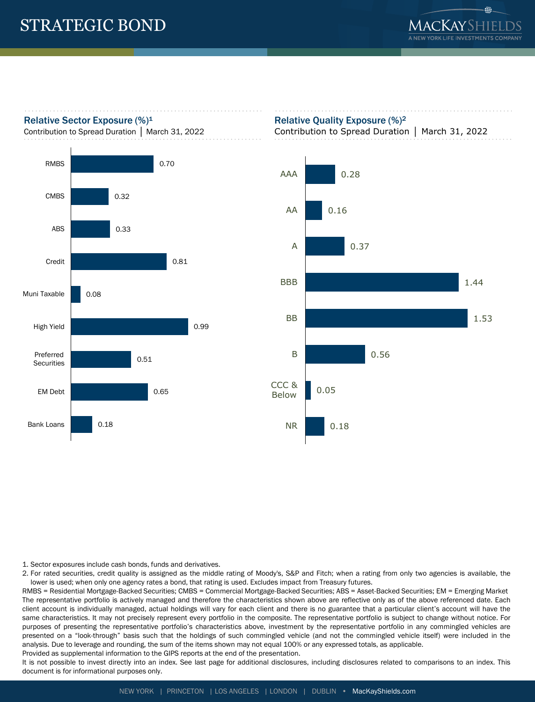# Relative Sector Exposure  $(\%)^1$

Contribution to Spread Duration │ March 31, 2022



# Relative Quality Exposure (%)<sup>2</sup>

Contribution to Spread Duration │ March 31, 2022



1. Sector exposures include cash bonds, funds and derivatives.

2. For rated securities, credit quality is assigned as the middle rating of Moody's, S&P and Fitch; when a rating from only two agencies is available, the lower is used; when only one agency rates a bond, that rating is used. Excludes impact from Treasury futures.

RMBS = Residential Mortgage-Backed Securities; CMBS = Commercial Mortgage-Backed Securities; ABS = Asset-Backed Securities; EM = Emerging Market The representative portfolio is actively managed and therefore the characteristics shown above are reflective only as of the above referenced date. Each client account is individually managed, actual holdings will vary for each client and there is no guarantee that a particular client's account will have the same characteristics. It may not precisely represent every portfolio in the composite. The representative portfolio is subject to change without notice. For purposes of presenting the representative portfolio's characteristics above, investment by the representative portfolio in any commingled vehicles are presented on a "look-through" basis such that the holdings of such commingled vehicle (and not the commingled vehicle itself) were included in the analysis. Due to leverage and rounding, the sum of the items shown may not equal 100% or any expressed totals, as applicable.

Provided as supplemental information to the GIPS reports at the end of the presentation.

It is not possible to invest directly into an index. See last page for additional disclosures, including disclosures related to comparisons to an index. This document is for informational purposes only.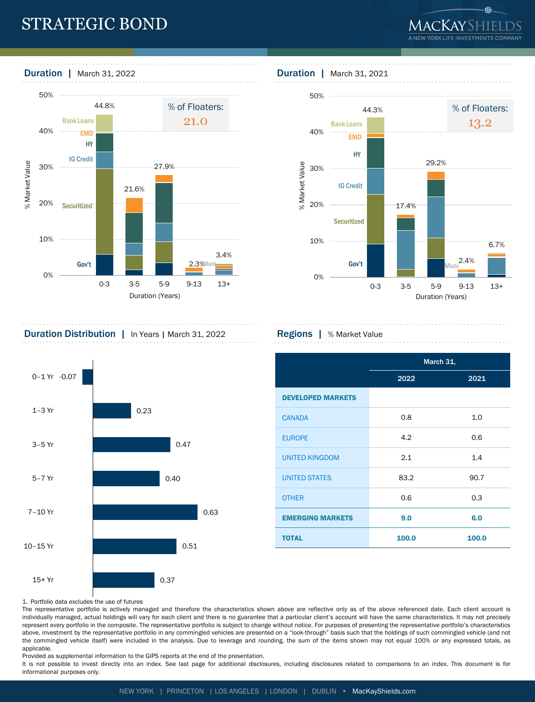# STRATEGIC BOND

⊕



# 



# **Duration Distribution** | In Years | March 31, 2022 **Regions |** % Market Value



|                          | March 31, |       |  |  |  |  |
|--------------------------|-----------|-------|--|--|--|--|
|                          | 2022      | 2021  |  |  |  |  |
| <b>DEVELOPED MARKETS</b> |           |       |  |  |  |  |
| <b>CANADA</b>            | 0.8       | 1.0   |  |  |  |  |
| <b>EUROPE</b>            | 4.2       | 0.6   |  |  |  |  |
| <b>UNITED KINGDOM</b>    | 2.1       | 1.4   |  |  |  |  |
| <b>UNITED STATES</b>     | 83.2      | 90.7  |  |  |  |  |
| <b>OTHER</b>             | 0.6       | 0.3   |  |  |  |  |
| <b>EMERGING MARKETS</b>  | 9.0       | 6.0   |  |  |  |  |
| <b>TOTAL</b>             | 100.0     | 100.0 |  |  |  |  |

### 1. Portfolio data excludes the use of futures

The representative portfolio is actively managed and therefore the characteristics shown above are reflective only as of the above referenced date. Each client account is individually managed, actual holdings will vary for each client and there is no guarantee that a particular client's account will have the same characteristics. It may not precisely represent every portfolio in the composite. The representative portfolio is subject to change without notice. For purposes of presenting the representative portfolio's characteristics above, investment by the representative portfolio in any commingled vehicles are presented on a "look-through" basis such that the holdings of such commingled vehicle (and not the commingled vehicle itself) were included in the analysis. Due to leverage and rounding, the sum of the items shown may not equal 100% or any expressed totals, as applicable.

Provided as supplemental information to the GIPS reports at the end of the presentation.

It is not possible to invest directly into an index. See last page for additional disclosures, including disclosures related to comparisons to an index. This document is for informational purposes only.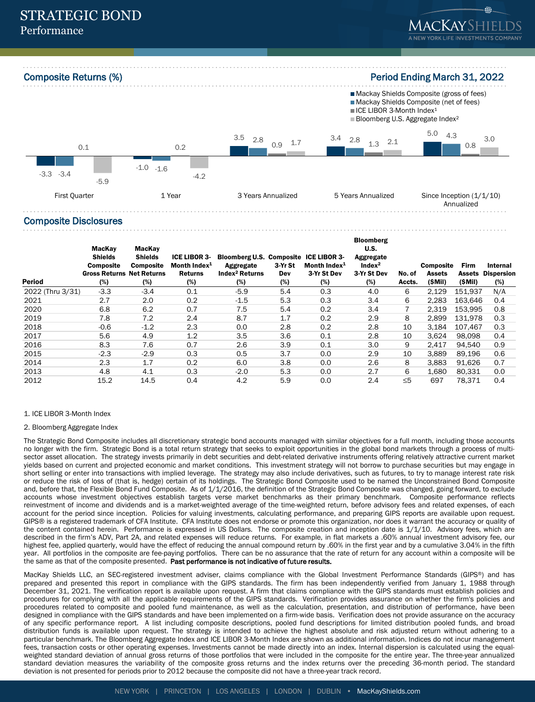

## Composite Disclosures

| Period           | MacKay<br><b>Shields</b><br><b>Composite</b><br><b>Gross Returns Net Returns</b><br>(%) | MacKay<br><b>Shields</b><br><b>Composite</b><br>(%) | ICE LIBOR 3-<br>Month Index $1$<br><b>Returns</b><br>(%) | Bloomberg U.S. Composite ICE LIBOR 3-<br>Aggregate<br>Index <sup>2</sup> Returns<br>(%) | 3-Yr St<br>Dev<br>$(\%)$ | Month Index $1$<br>3-Yr St Dev<br>(%) | <b>Bloomberg</b><br>U.S.<br>Aggregate<br>Index <sup>2</sup><br>3-Yr St Dev<br>(%) | No. of<br>Accts. | <b>Composite</b><br><b>Assets</b><br>(\$Mil) | Firm<br>Assets<br>(\$Mil) | Internal<br><b>Dispersion</b><br>(%) |
|------------------|-----------------------------------------------------------------------------------------|-----------------------------------------------------|----------------------------------------------------------|-----------------------------------------------------------------------------------------|--------------------------|---------------------------------------|-----------------------------------------------------------------------------------|------------------|----------------------------------------------|---------------------------|--------------------------------------|
| 2022 (Thru 3/31) | $-3.3$                                                                                  | $-3.4$                                              | 0.1                                                      | $-5.9$                                                                                  | 5.4                      | 0.3                                   | 4.0                                                                               | 6                | 2,129                                        | 151.937                   | N/A                                  |
| 2021             | 2.7                                                                                     | 2.0                                                 | 0.2                                                      | $-1.5$                                                                                  | 5.3                      | 0.3                                   | 3.4                                                                               | 6                | 2.283                                        | 163.646                   | 0.4                                  |
| 2020             | 6.8                                                                                     | 6.2                                                 | 0.7                                                      | 7.5                                                                                     | 5.4                      | 0.2                                   | 3.4                                                                               |                  | 2,319                                        | 153,995                   | 0.8                                  |
| 2019             | 7.8                                                                                     | 7.2                                                 | 2.4                                                      | 8.7                                                                                     | 1.7                      | 0.2                                   | 2.9                                                                               | 8                | 2,899                                        | 131,978                   | 0.3                                  |
| 2018             | $-0.6$                                                                                  | $-1.2$                                              | 2.3                                                      | 0.0                                                                                     | 2.8                      | 0.2                                   | 2.8                                                                               | 10               | 3.184                                        | 107.467                   | 0.3                                  |
| 2017             | 5.6                                                                                     | 4.9                                                 | 1.2                                                      | 3.5                                                                                     | 3.6                      | 0.1                                   | 2.8                                                                               | 10               | 3.624                                        | 98.098                    | 0.4                                  |
| 2016             | 8.3                                                                                     | 7.6                                                 | 0.7                                                      | 2.6                                                                                     | 3.9                      | 0.1                                   | 3.0                                                                               | 9                | 2.417                                        | 94.540                    | 0.9                                  |
| 2015             | $-2.3$                                                                                  | $-2.9$                                              | 0.3                                                      | 0.5                                                                                     | 3.7                      | 0.0                                   | 2.9                                                                               | 10               | 3,889                                        | 89,196                    | 0.6                                  |
| 2014             | 2.3                                                                                     | 1.7                                                 | 0.2                                                      | 6.0                                                                                     | 3.8                      | 0.0                                   | 2.6                                                                               | 8                | 3,883                                        | 91,626                    | 0.7                                  |
| 2013             | 4.8                                                                                     | 4.1                                                 | 0.3                                                      | $-2.0$                                                                                  | 5.3                      | 0.0                                   | 2.7                                                                               | 6                | 1,680                                        | 80.331                    | 0.0                                  |
| 2012             | 15.2                                                                                    | 14.5                                                | 0.4                                                      | 4.2                                                                                     | 5.9                      | 0.0                                   | 2.4                                                                               | $\leq 5$         | 697                                          | 78,371                    | 0.4                                  |

### 1. ICE LIBOR 3-Month Index

### 2. Bloomberg Aggregate Index

The Strategic Bond Composite includes all discretionary strategic bond accounts managed with similar objectives for a full month, including those accounts no longer with the firm. Strategic Bond is a total return strategy that seeks to exploit opportunities in the global bond markets through a process of multisector asset allocation. The strategy invests primarily in debt securities and debt-related derivative instruments offering relatively attractive current market yields based on current and projected economic and market conditions. This investment strategy will not borrow to purchase securities but may engage in short selling or enter into transactions with implied leverage. The strategy may also include derivatives, such as futures, to try to manage interest rate risk or reduce the risk of loss of (that is, hedge) certain of its holdings. The Strategic Bond Composite used to be named the Unconstrained Bond Composite and, before that, the Flexible Bond Fund Composite. As of 1/1/2016, the definition of the Strategic Bond Composite was changed, going forward, to exclude accounts whose investment objectives establish targets verse market benchmarks as their primary benchmark. Composite performance reflects reinvestment of income and dividends and is a market-weighted average of the time-weighted return, before advisory fees and related expenses, of each account for the period since inception. Policies for valuing investments, calculating performance, and preparing GIPS reports are available upon request. GIPS® is a registered trademark of CFA Institute. CFA Institute does not endorse or promote this organization, nor does it warrant the accuracy or quality of the content contained herein. Performance is expressed in US Dollars. The composite creation and inception date is 1/1/10. Advisory fees, which are described in the firm's ADV, Part 2A, and related expenses will reduce returns. For example, in flat markets a .60% annual investment advisory fee, our highest fee, applied quarterly, would have the effect of reducing the annual compound return by .60% in the first year and by a cumulative 3.04% in the fifth year. All portfolios in the composite are fee-paying portfolios. There can be no assurance that the rate of return for any account within a composite will be the same as that of the composite presented. Past performance is not indicative of future results.

MacKay Shields LLC, an SEC-registered investment adviser, claims compliance with the Global Investment Performance Standards (GIPS®) and has prepared and presented this report in compliance with the GIPS standards. The firm has been independently verified from January 1, 1988 through December 31, 2021. The verification report is available upon request. A firm that claims compliance with the GIPS standards must establish policies and procedures for complying with all the applicable requirements of the GIPS standards. Verification provides assurance on whether the firm's policies and procedures related to composite and pooled fund maintenance, as well as the calculation, presentation, and distribution of performance, have been designed in compliance with the GIPS standards and have been implemented on a firm-wide basis. Verification does not provide assurance on the accuracy of any specific performance report. A list including composite descriptions, pooled fund descriptions for limited distribution pooled funds, and broad distribution funds is available upon request. The strategy is intended to achieve the highest absolute and risk adjusted return without adhering to a particular benchmark. The Bloomberg Aggregate Index and ICE LIBOR 3-Month Index are shown as additional information. Indices do not incur management fees, transaction costs or other operating expenses. Investments cannot be made directly into an index. Internal dispersion is calculated using the equalweighted standard deviation of annual gross returns of those portfolios that were included in the composite for the entire year. The three-year annualized standard deviation measures the variability of the composite gross returns and the index returns over the preceding 36-month period. The standard deviation is not presented for periods prior to 2012 because the composite did not have a three-year track record.